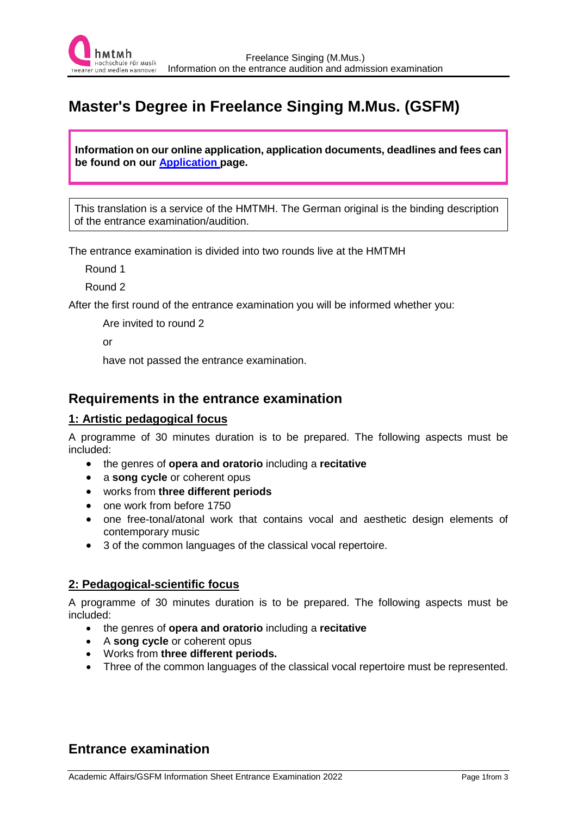

# **Master's Degree in Freelance Singing M.Mus. (GSFM)**

**Information on our online application, application documents, deadlines and fees can be found on our [Application p](https://www.hmtm-hannover.de/de/bewerbung/bewerbung-aufnahmepruefung/bewerbung/)age.** 

This translation is a service of the HMTMH. The German original is the binding description of the entrance examination/audition.

The entrance examination is divided into two rounds live at the HMTMH

Round 1

Round 2

After the first round of the entrance examination you will be informed whether you:

Are invited to round 2

or

have not passed the entrance examination.

## **Requirements in the entrance examination**

#### **1: Artistic pedagogical focus**

A programme of 30 minutes duration is to be prepared. The following aspects must be included:

- the genres of **opera and oratorio** including a **recitative**
- a **song cycle** or coherent opus
- works from **three different periods**
- one work from before 1750
- one free-tonal/atonal work that contains vocal and aesthetic design elements of contemporary music
- 3 of the common languages of the classical vocal repertoire.

#### **2: Pedagogical-scientific focus**

A programme of 30 minutes duration is to be prepared. The following aspects must be included:

- the genres of **opera and oratorio** including a **recitative**
- A **song cycle** or coherent opus
- Works from **three different periods.**
- Three of the common languages of the classical vocal repertoire must be represented.

# **Entrance examination**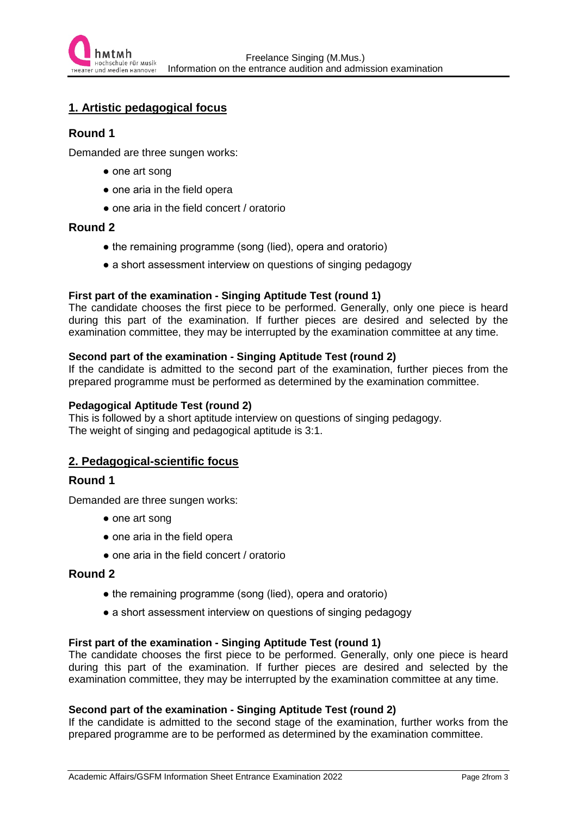## **1. Artistic pedagogical focus**

#### **Round 1**

Demanded are three sungen works:

- one art song
- one aria in the field opera
- one aria in the field concert / oratorio

#### **Round 2**

- the remaining programme (song (lied), opera and oratorio)
- a short assessment interview on questions of singing pedagogy

#### **First part of the examination - Singing Aptitude Test (round 1)**

The candidate chooses the first piece to be performed. Generally, only one piece is heard during this part of the examination. If further pieces are desired and selected by the examination committee, they may be interrupted by the examination committee at any time.

#### **Second part of the examination - Singing Aptitude Test (round 2)**

If the candidate is admitted to the second part of the examination, further pieces from the prepared programme must be performed as determined by the examination committee.

#### **Pedagogical Aptitude Test (round 2)**

This is followed by a short aptitude interview on questions of singing pedagogy. The weight of singing and pedagogical aptitude is 3:1.

#### **2. Pedagogical-scientific focus**

#### **Round 1**

Demanded are three sungen works:

- one art song
- one aria in the field opera
- one aria in the field concert / oratorio

#### **Round 2**

- the remaining programme (song (lied), opera and oratorio)
- a short assessment interview on questions of singing pedagogy

#### **First part of the examination - Singing Aptitude Test (round 1)**

The candidate chooses the first piece to be performed. Generally, only one piece is heard during this part of the examination. If further pieces are desired and selected by the examination committee, they may be interrupted by the examination committee at any time.

#### **Second part of the examination - Singing Aptitude Test (round 2)**

If the candidate is admitted to the second stage of the examination, further works from the prepared programme are to be performed as determined by the examination committee.